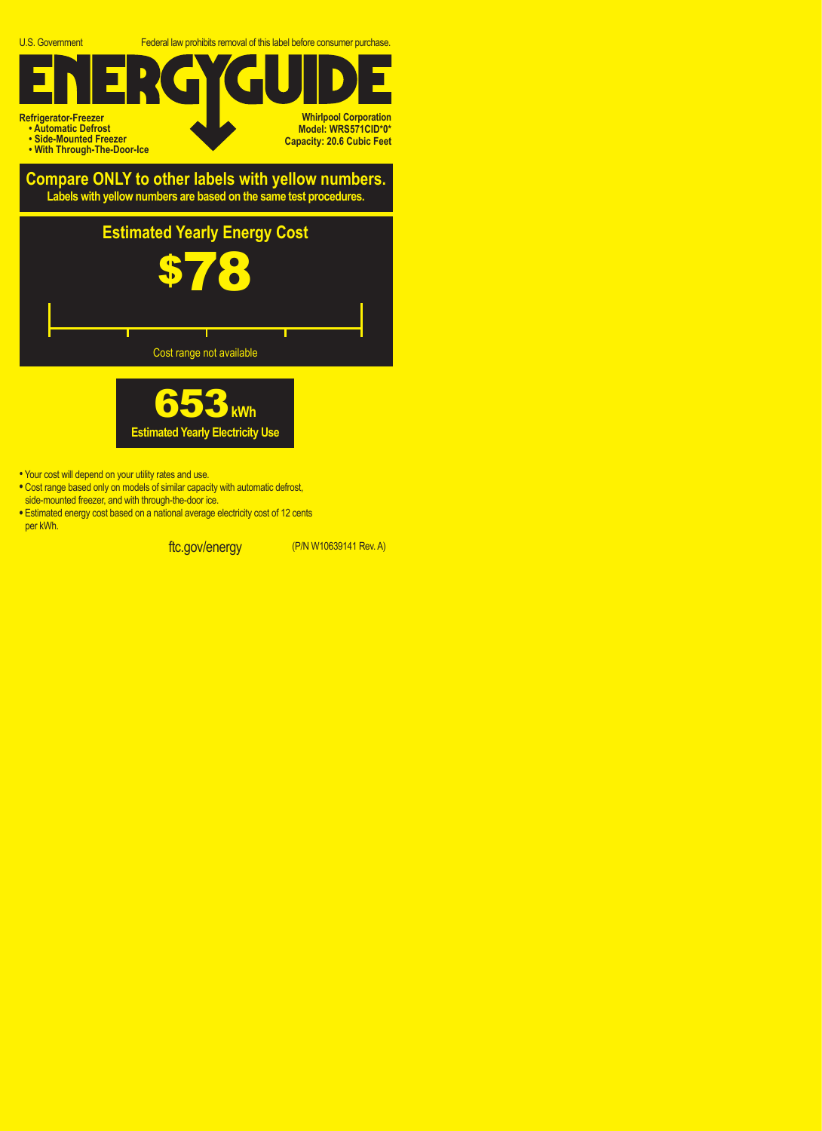U.S. Government Federal law prohibits removal of this label before consumer purchase.

## **Refrigerator-Freezer • Automatic Defrost • Side-Mounted Freezer Whirlpool Corporation Model: WRS571CID\*0\* Capacity: 20.6 Cubic Feet**

**• With Through-The-Door-Ice**

## **Compare ONLY to other labels with yellow numbers. Labels with yellow numbers are based on the same test procedures.**





- Your cost will depend on your utility rates and use.
- **•** Cost range based only on models of similar capacity with automatic defrost, side-mounted freezer, and with through-the-door ice.
- **•** Estimated energy cost based on a national average electricity cost of 12 cents per kWh.

ftc.gov/energy (P/N W10639141 Rev. A)